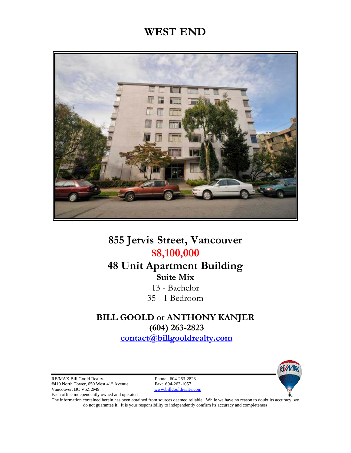# **WEST END**



# **855 Jervis Street, Vancouver \$8,100,000**

## **48 Unit Apartment Building Suite Mix**

13 - Bachelor 35 - 1 Bedroom

### **BILL GOOLD or ANTHONY KANJER (604) 263-2823**

**[contact@billgooldrealty.com](mailto:contact@billgooldrealty.com)** 

RE/MAX Bill Goold Realty<br>
#410 North Tower, 650 West 41<sup>st</sup> Avenue<br>
Fax: 604-263-1057 #410 North Tower, 650 West 41<sup>st</sup> Avenue Vancouver, BC V5Z 2M9 www.billgooldrealty.com Each office independently owned and operated

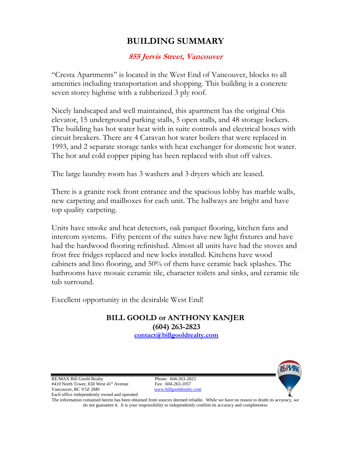## **BUILDING SUMMARY**

#### **855 Jervis Street, Vancouver**

"Cresta Apartments" is located in the West End of Vancouver, blocks to all amenities including transportation and shopping. This building is a concrete seven storey highrise with a rubberized 3 ply roof.

Nicely landscaped and well maintained, this apartment has the original Otis elevator, 15 underground parking stalls, 5 open stalls, and 48 storage lockers. The building has hot water heat with in suite controls and electrical boxes with circuit breakers. There are 4 Caravan hot water boilers that were replaced in 1993, and 2 separate storage tanks with heat exchanger for domestic hot water. The hot and cold copper piping has been replaced with shut off valves.

The large laundry room has 3 washers and 3 dryers which are leased.

There is a granite rock front entrance and the spacious lobby has marble walls, new carpeting and mailboxes for each unit. The hallways are bright and have top quality carpeting.

Units have smoke and heat detectors, oak parquet flooring, kitchen fans and intercom systems. Fifty percent of the suites have new light fixtures and have had the hardwood flooring refinished. Almost all units have had the stoves and frost free fridges replaced and new locks installed. Kitchens have wood cabinets and lino flooring, and 50% of them have ceramic back splashes. The bathrooms have mosaic ceramic tile, character toilets and sinks, and ceramic tile tub surround.

Excellent opportunity in the desirable West End!

**BILL GOOLD or ANTHONY KANJER (604) 263-2823 [contact@billgooldrealty.com](mailto:contact@billgooldrealty.com)** 

RE/MAX Bill Goold Realty Phone: 604-263-2823 #410 North Tower, 650 West 41<sup>st</sup> Avenue Fax: 604-263-1057 Vancouver, BC V5Z 2M9 www.billgooldrealty.com Each office independently owned and operated

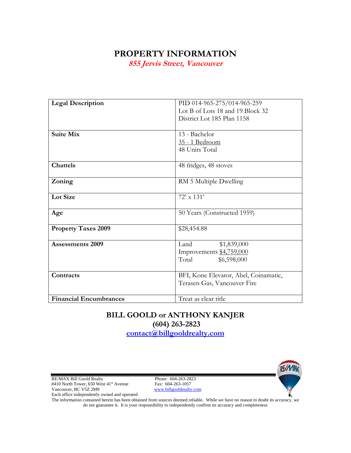### **PROPERTY INFORMATION**

**855 Jervis Street, Vancouver** 

| <b>Legal Description</b>      | PID 014-965-275/014-965-259           |  |  |
|-------------------------------|---------------------------------------|--|--|
|                               | Lot B of Lots 18 and 19 Block 32      |  |  |
|                               | District Lot 185 Plan 1158            |  |  |
|                               |                                       |  |  |
| <b>Suite Mix</b>              | 13 - Bachelor                         |  |  |
|                               | 35 - 1 Bedroom                        |  |  |
|                               | 48 Units Total                        |  |  |
|                               |                                       |  |  |
| <b>Chattels</b>               | 48 fridges, 48 stoves                 |  |  |
|                               |                                       |  |  |
| Zoning                        | RM 5 Multiple Dwelling                |  |  |
|                               |                                       |  |  |
| <b>Lot Size</b>               | $72' \times 131'$                     |  |  |
|                               |                                       |  |  |
| Age                           | 50 Years (Constructed 1959)           |  |  |
|                               |                                       |  |  |
| <b>Property Taxes 2009</b>    | \$28,454.88                           |  |  |
|                               |                                       |  |  |
| <b>Assessments 2009</b>       | Land<br>\$1,839,000                   |  |  |
|                               | Improvements \$4,759,000              |  |  |
|                               | Total<br>\$6,598,000                  |  |  |
|                               |                                       |  |  |
| Contracts                     | BFI, Kone Elevator, Abel, Coinamatic, |  |  |
|                               | Terasen Gas, Vancouver Fire           |  |  |
|                               |                                       |  |  |
| <b>Financial Encumbrances</b> | Treat as clear title                  |  |  |

## **BILL GOOLD or ANTHONY KANJER (604) 263-2823**

**[contact@billgooldrealty.com](mailto:contact@billgooldrealty.com)** 

RE/MAX Bill Goold Realty Phone: 604-263-2823<br>#410 North Tower, 650 West 41<sup>st</sup> Avenue Fax: 604-263-1057 #410 North Tower, 650 West 41<sup>st</sup> Avenue Vancouver, BC V5Z 2M9 www.billgooldrealty.com Each office independently owned and operated

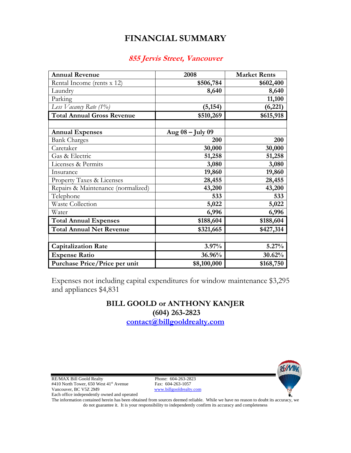## **FINANCIAL SUMMARY**

#### **855 Jervis Street, Vancouver**

| <b>Annual Revenue</b>              | 2008             | <b>Market Rents</b> |
|------------------------------------|------------------|---------------------|
| Rental Income (rents x 12)         | \$506,784        | \$602,400           |
| Laundry                            | 8,640            | 8,640               |
| Parking                            |                  | 11,100              |
| Less Vacancy Rate (1%)             | (5, 154)         | (6,221)             |
| <b>Total Annual Gross Revenue</b>  | \$510,269        | \$615,918           |
|                                    |                  |                     |
| <b>Annual Expenses</b>             | Aug 08 - July 09 |                     |
| <b>Bank Charges</b>                | <b>200</b>       | 200                 |
| Caretaker                          | 30,000           | 30,000              |
| Gas & Electric                     | 51,258           | 51,258              |
| Licenses & Permits                 | 3,080            | 3,080               |
| Insurance                          | 19,860           | 19,860              |
| Property Taxes & Licenses          | 28,455           | 28,455              |
| Repairs & Maintenance (normalized) | 43,200           | 43,200              |
| Telephone                          | 533              | 533                 |
| Waste Collection                   | 5,022            | 5,022               |
| Water                              | 6,996            | 6,996               |
| <b>Total Annual Expenses</b>       | \$188,604        | \$188,604           |
| <b>Total Annual Net Revenue</b>    | \$321,665        | \$427,314           |
|                                    |                  |                     |
| <b>Capitalization Rate</b>         | 3.97%            | $5.27\%$            |
| <b>Expense Ratio</b>               | 36.96%           | 30.62%              |
| Purchase Price/Price per unit      | \$8,100,000      | \$168,750           |

Expenses not including capital expenditures for window maintenance \$3,295 and appliances \$4,831

#### **BILL GOOLD or ANTHONY KANJER (604) 263-2823 [contact@billgooldrealty.com](mailto:contact@billgooldrealty.com)**

RE/MAX Bill Goold Realty Phone: 604-263-2823<br>#410 North Tower, 650 West 41<sup>st</sup> Avenue Fax: 604-263-1057 #410 North Tower, 650 West 41<sup>st</sup> Avenue Vancouver, BC V5Z 2M9 www.billgooldrealty.com Each office independently owned and operated

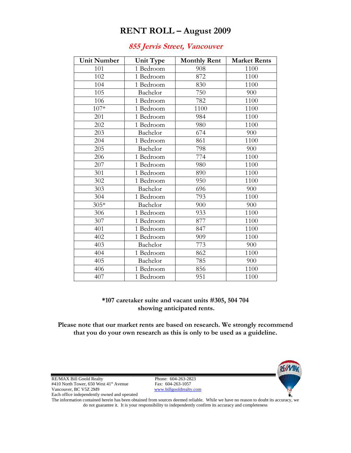### **RENT ROLL – August 2009**

#### **855 Jervis Street, Vancouver**

| <b>Unit Number</b> | Unit Type | <b>Monthly Rent</b> | <b>Market Rents</b> |
|--------------------|-----------|---------------------|---------------------|
| 101                | 1 Bedroom | 908                 | 1100                |
| 102                | 1 Bedroom | 872                 | 1100                |
| 104                | 1 Bedroom | 830                 | 1100                |
| 105                | Bachelor  | 750                 | 900                 |
| 106                | 1 Bedroom | 782                 | 1100                |
| 107*               | 1 Bedroom | 1100                | 1100                |
| 201                | 1 Bedroom | 984                 | 1100                |
| 202                | 1 Bedroom | 980                 | 1100                |
| 203                | Bachelor  | 674                 | 900                 |
| 204                | 1 Bedroom | 861                 | 1100                |
| 205                | Bachelor  | 798                 | 900                 |
| 206                | 1 Bedroom | 774                 | 1100                |
| 207                | 1 Bedroom | 980                 | 1100                |
| 301                | 1 Bedroom | 890                 | 1100                |
| 302                | 1 Bedroom | 950                 | 1100                |
| 303                | Bachelor  | 696                 | 900                 |
| 304                | 1 Bedroom | 793                 | 1100                |
| $305*$             | Bachelor  | 900                 | 900                 |
| 306                | 1 Bedroom | 933                 | 1100                |
| 307                | 1 Bedroom | 877                 | 1100                |
| 401                | 1 Bedroom | 847                 | 1100                |
| 402                | 1 Bedroom | 909                 | 1100                |
| 403                | Bachelor  | 773                 | 900                 |
| 404                | 1 Bedroom | 862                 | 1100                |
| 405                | Bachelor  | 785                 | 900                 |
| 406                | 1 Bedroom | 856                 | 1100                |
| 407                | 1 Bedroom | 951                 | 1100                |

#### **\*107 caretaker suite and vacant units #305, 504 704 showing anticipated rents.**

**Please note that our market rents are based on research. We strongly recommend that you do your own research as this is only to be used as a guideline.** 

RE/MAX Bill Goold Realty<br>
#410 North Tower, 650 West 41<sup>st</sup> Avenue<br>
Fax: 604-263-1057 #410 North Tower, 650 West 41<sup>st</sup> Avenue Vancouver, BC V5Z 2M9 www.billgooldrealty.com Each office independently owned and operated

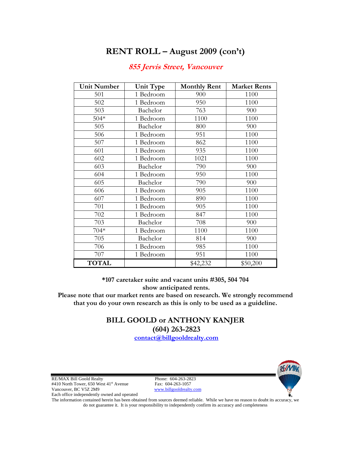### **RENT ROLL – August 2009 (con't)**

| <b>Unit Number</b> | <b>Unit Type</b> | <b>Monthly Rent</b> | <b>Market Rents</b> |
|--------------------|------------------|---------------------|---------------------|
| 501                | 1 Bedroom        | 900                 | 1100                |
| 502                | 1 Bedroom        | 950                 | 1100                |
| 503                | Bachelor         | 763                 | 900                 |
| $504*$             | 1 Bedroom        | 1100                | 1100                |
| 505                | Bachelor         | 800                 | 900                 |
| 506                | 1 Bedroom        | 951                 | 1100                |
| 507                | 1 Bedroom        | 862                 | 1100                |
| 601                | 1 Bedroom        | 935                 | 1100                |
| 602                | 1 Bedroom        | 1021                | 1100                |
| 603                | Bachelor         | 790                 | 900                 |
| 604                | 1 Bedroom        | 950                 | 1100                |
| 605                | Bachelor         | 790                 | 900                 |
| 606                | 1 Bedroom        | 905                 | 1100                |
| 607                | 1 Bedroom        | 890                 | 1100                |
| 701                | 1 Bedroom        | 905                 | 1100                |
| 702                | 1 Bedroom        | 847                 | 1100                |
| 703                | Bachelor         | 708                 | 900                 |
| 704*               | 1 Bedroom        | 1100                | 1100                |
| 705                | Bachelor         | 814                 | 900                 |
| 706                | 1 Bedroom        | 985                 | 1100                |
| 707                | 1 Bedroom        | 951                 | 1100                |
| <b>TOTAL</b>       |                  | \$42,232            | \$50,200            |

#### **855 Jervis Street, Vancouver**

**\*107 caretaker suite and vacant units #305, 504 704 show anticipated rents.** 

**Please note that our market rents are based on research. We strongly recommend that you do your own research as this is only to be used as a guideline.** 

> **BILL GOOLD or ANTHONY KANJER (604) 263-2823**

**[contact@billgooldrealty.com](mailto:contact@billgooldrealty.com)** 

RE/MAX Bill Goold Realty<br>
#410 North Tower, 650 West 41<sup>st</sup> Avenue<br>
Fax: 604-263-1057 #410 North Tower, 650 West 41<sup>st</sup> Avenue Vancouver, BC V5Z 2M9 www.billgooldrealty.com Each office independently owned and operated